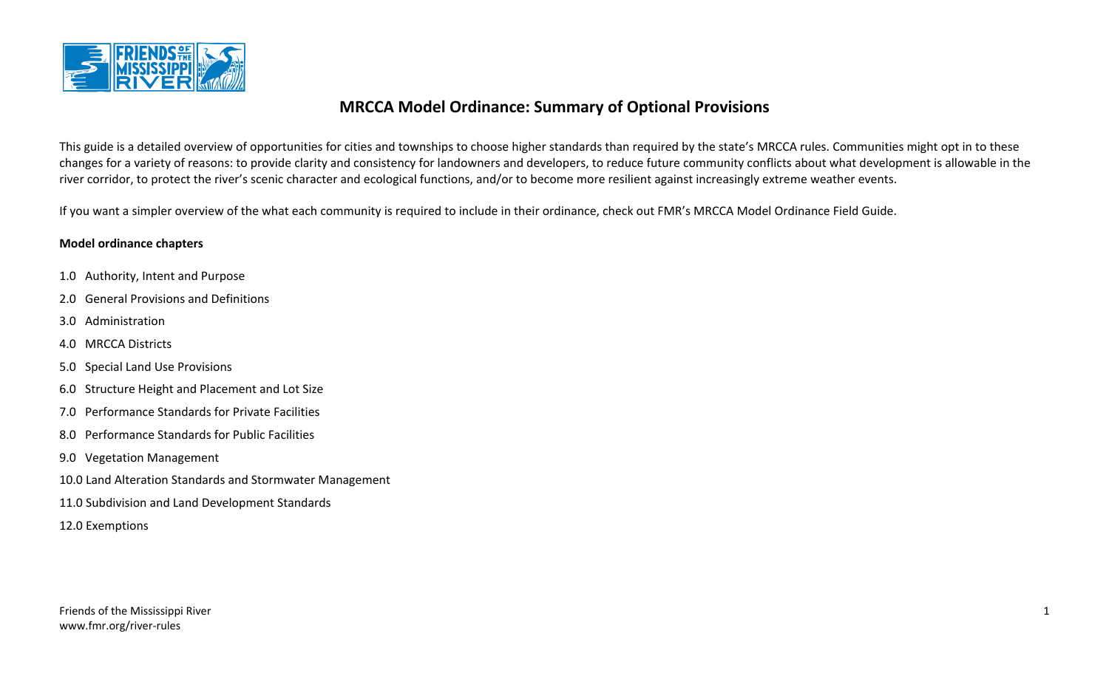

# **MRCCA Model Ordinance: Summary of Optional Provisions**

This guide is a detailed overview of opportunities for cities and townships to choose higher standards than required by the state's MRCCA rules. Communities might opt in to these changes for a variety of reasons: to provide clarity and consistency for landowners and developers, to reduce future community conflicts about what development is allowable in the river corridor, to protect the river's scenic character and ecological functions, and/or to become more resilient against increasingly extreme weather events.

If you want a simpler overview of the what each community is required to include in their ordinance, check out FMR's MRCCA Model Ordinance Field Guide.

### **Model ordinance chapters**

- 1.0 Authority, Intent and Purpose
- 2.0 General Provisions and Definitions
- 3.0 Administration
- 4.0 MRCCA Districts
- 5.0 Special Land Use Provisions
- 6.0 Structure Height and Placement and Lot Size
- 7.0 Performance Standards for Private Facilities
- 8.0 Performance Standards for Public Facilities
- 9.0 Vegetation Management
- 10.0 Land Alteration Standards and Stormwater Management
- 11.0 Subdivision and Land Development Standards
- 12.0 Exemptions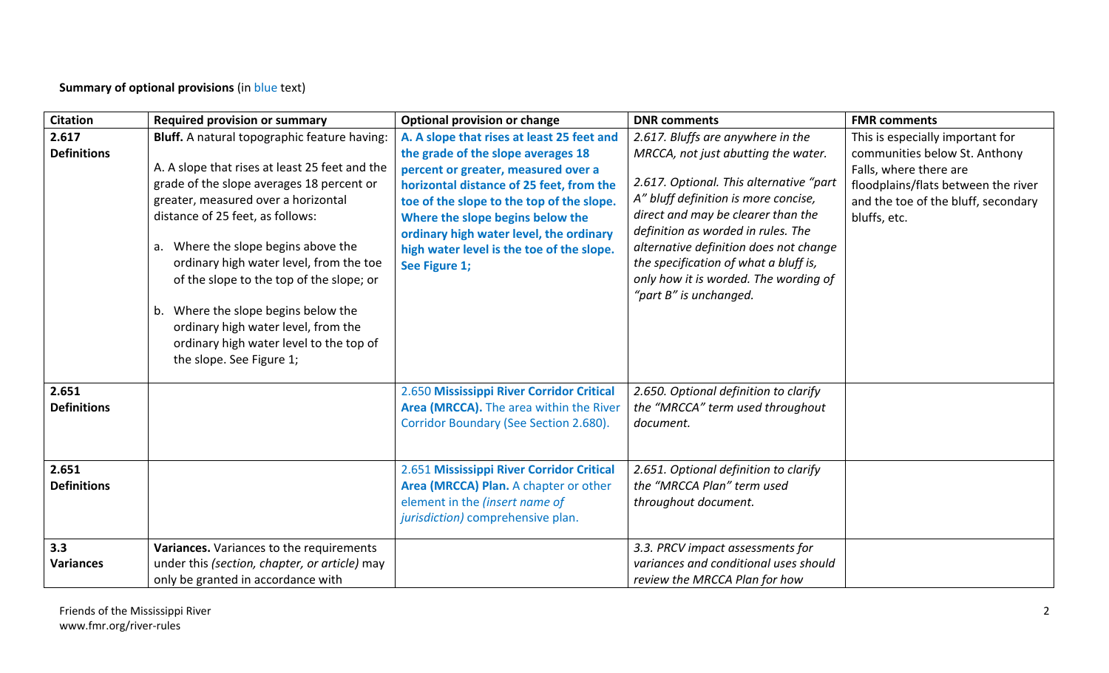**Summary of optional provisions** (in blue text)

| <b>Citation</b>             | <b>Required provision or summary</b>                                                                                                                                                                                                                                                                                                                                                                                                                                                                         | <b>Optional provision or change</b>                                                                                                                                                                                                                                                                                                                           | <b>DNR</b> comments                                                                                                                                                                                                                                                                                                                                                                           | <b>FMR comments</b>                                                                                                                                                                       |
|-----------------------------|--------------------------------------------------------------------------------------------------------------------------------------------------------------------------------------------------------------------------------------------------------------------------------------------------------------------------------------------------------------------------------------------------------------------------------------------------------------------------------------------------------------|---------------------------------------------------------------------------------------------------------------------------------------------------------------------------------------------------------------------------------------------------------------------------------------------------------------------------------------------------------------|-----------------------------------------------------------------------------------------------------------------------------------------------------------------------------------------------------------------------------------------------------------------------------------------------------------------------------------------------------------------------------------------------|-------------------------------------------------------------------------------------------------------------------------------------------------------------------------------------------|
| 2.617<br><b>Definitions</b> | Bluff. A natural topographic feature having:<br>A. A slope that rises at least 25 feet and the<br>grade of the slope averages 18 percent or<br>greater, measured over a horizontal<br>distance of 25 feet, as follows:<br>a. Where the slope begins above the<br>ordinary high water level, from the toe<br>of the slope to the top of the slope; or<br>Where the slope begins below the<br>b.<br>ordinary high water level, from the<br>ordinary high water level to the top of<br>the slope. See Figure 1; | A. A slope that rises at least 25 feet and<br>the grade of the slope averages 18<br>percent or greater, measured over a<br>horizontal distance of 25 feet, from the<br>toe of the slope to the top of the slope.<br>Where the slope begins below the<br>ordinary high water level, the ordinary<br>high water level is the toe of the slope.<br>See Figure 1; | 2.617. Bluffs are anywhere in the<br>MRCCA, not just abutting the water.<br>2.617. Optional. This alternative "part<br>A" bluff definition is more concise,<br>direct and may be clearer than the<br>definition as worded in rules. The<br>alternative definition does not change<br>the specification of what a bluff is,<br>only how it is worded. The wording of<br>"part B" is unchanged. | This is especially important for<br>communities below St. Anthony<br>Falls, where there are<br>floodplains/flats between the river<br>and the toe of the bluff, secondary<br>bluffs, etc. |
| 2.651<br><b>Definitions</b> |                                                                                                                                                                                                                                                                                                                                                                                                                                                                                                              | 2.650 Mississippi River Corridor Critical<br>Area (MRCCA). The area within the River<br>Corridor Boundary (See Section 2.680).                                                                                                                                                                                                                                | 2.650. Optional definition to clarify<br>the "MRCCA" term used throughout<br>document.                                                                                                                                                                                                                                                                                                        |                                                                                                                                                                                           |
| 2.651<br><b>Definitions</b> |                                                                                                                                                                                                                                                                                                                                                                                                                                                                                                              | 2.651 Mississippi River Corridor Critical<br>Area (MRCCA) Plan. A chapter or other<br>element in the (insert name of<br>jurisdiction) comprehensive plan.                                                                                                                                                                                                     | 2.651. Optional definition to clarify<br>the "MRCCA Plan" term used<br>throughout document.                                                                                                                                                                                                                                                                                                   |                                                                                                                                                                                           |
| 3.3<br><b>Variances</b>     | Variances. Variances to the requirements<br>under this (section, chapter, or article) may<br>only be granted in accordance with                                                                                                                                                                                                                                                                                                                                                                              |                                                                                                                                                                                                                                                                                                                                                               | 3.3. PRCV impact assessments for<br>variances and conditional uses should<br>review the MRCCA Plan for how                                                                                                                                                                                                                                                                                    |                                                                                                                                                                                           |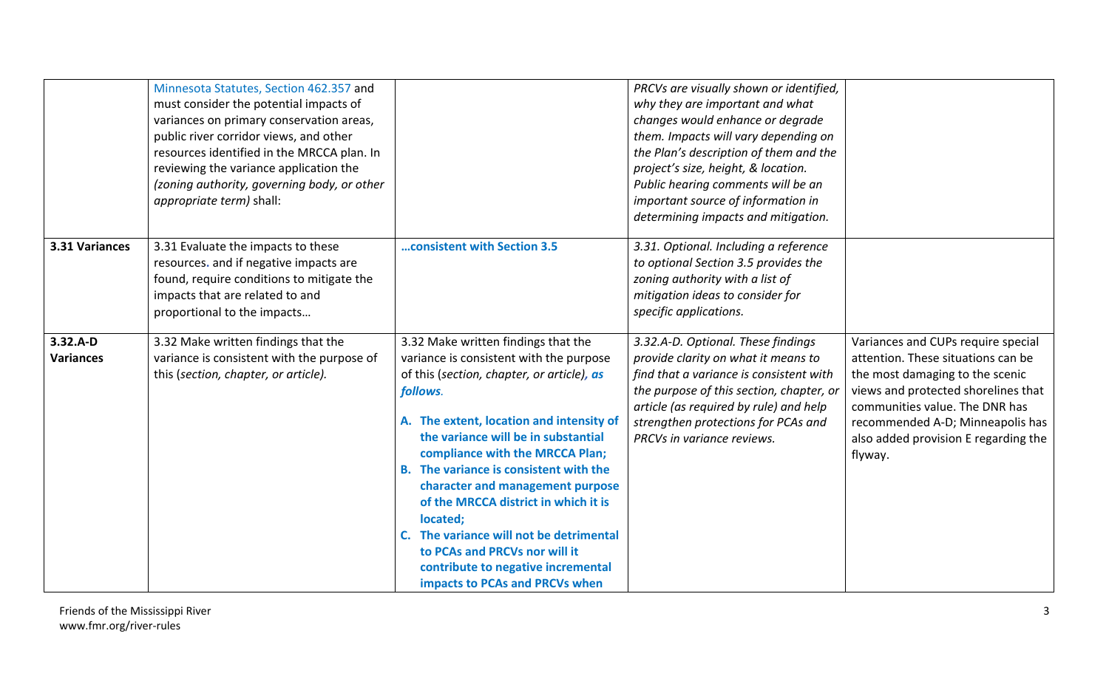|                                | Minnesota Statutes, Section 462.357 and<br>must consider the potential impacts of<br>variances on primary conservation areas,<br>public river corridor views, and other<br>resources identified in the MRCCA plan. In<br>reviewing the variance application the<br>(zoning authority, governing body, or other<br>appropriate term) shall: |                                                                                                                                                                                                                                                                                                                                                                                                                                                                                                                                                      | PRCVs are visually shown or identified,<br>why they are important and what<br>changes would enhance or degrade<br>them. Impacts will vary depending on<br>the Plan's description of them and the<br>project's size, height, & location.<br>Public hearing comments will be an<br>important source of information in<br>determining impacts and mitigation. |                                                                                                                                                                                                                                                                             |
|--------------------------------|--------------------------------------------------------------------------------------------------------------------------------------------------------------------------------------------------------------------------------------------------------------------------------------------------------------------------------------------|------------------------------------------------------------------------------------------------------------------------------------------------------------------------------------------------------------------------------------------------------------------------------------------------------------------------------------------------------------------------------------------------------------------------------------------------------------------------------------------------------------------------------------------------------|------------------------------------------------------------------------------------------------------------------------------------------------------------------------------------------------------------------------------------------------------------------------------------------------------------------------------------------------------------|-----------------------------------------------------------------------------------------------------------------------------------------------------------------------------------------------------------------------------------------------------------------------------|
| 3.31 Variances                 | 3.31 Evaluate the impacts to these<br>resources. and if negative impacts are<br>found, require conditions to mitigate the<br>impacts that are related to and<br>proportional to the impacts                                                                                                                                                | consistent with Section 3.5                                                                                                                                                                                                                                                                                                                                                                                                                                                                                                                          | 3.31. Optional. Including a reference<br>to optional Section 3.5 provides the<br>zoning authority with a list of<br>mitigation ideas to consider for<br>specific applications.                                                                                                                                                                             |                                                                                                                                                                                                                                                                             |
| $3.32.A-D$<br><b>Variances</b> | 3.32 Make written findings that the<br>variance is consistent with the purpose of<br>this (section, chapter, or article).                                                                                                                                                                                                                  | 3.32 Make written findings that the<br>variance is consistent with the purpose<br>of this (section, chapter, or article), as<br>follows.<br>A. The extent, location and intensity of<br>the variance will be in substantial<br>compliance with the MRCCA Plan;<br>B. The variance is consistent with the<br>character and management purpose<br>of the MRCCA district in which it is<br>located;<br>C. The variance will not be detrimental<br>to PCAs and PRCVs nor will it<br>contribute to negative incremental<br>impacts to PCAs and PRCVs when | 3.32.A-D. Optional. These findings<br>provide clarity on what it means to<br>find that a variance is consistent with<br>the purpose of this section, chapter, or<br>article (as required by rule) and help<br>strengthen protections for PCAs and<br>PRCVs in variance reviews.                                                                            | Variances and CUPs require special<br>attention. These situations can be<br>the most damaging to the scenic<br>views and protected shorelines that<br>communities value. The DNR has<br>recommended A-D; Minneapolis has<br>also added provision E regarding the<br>flyway. |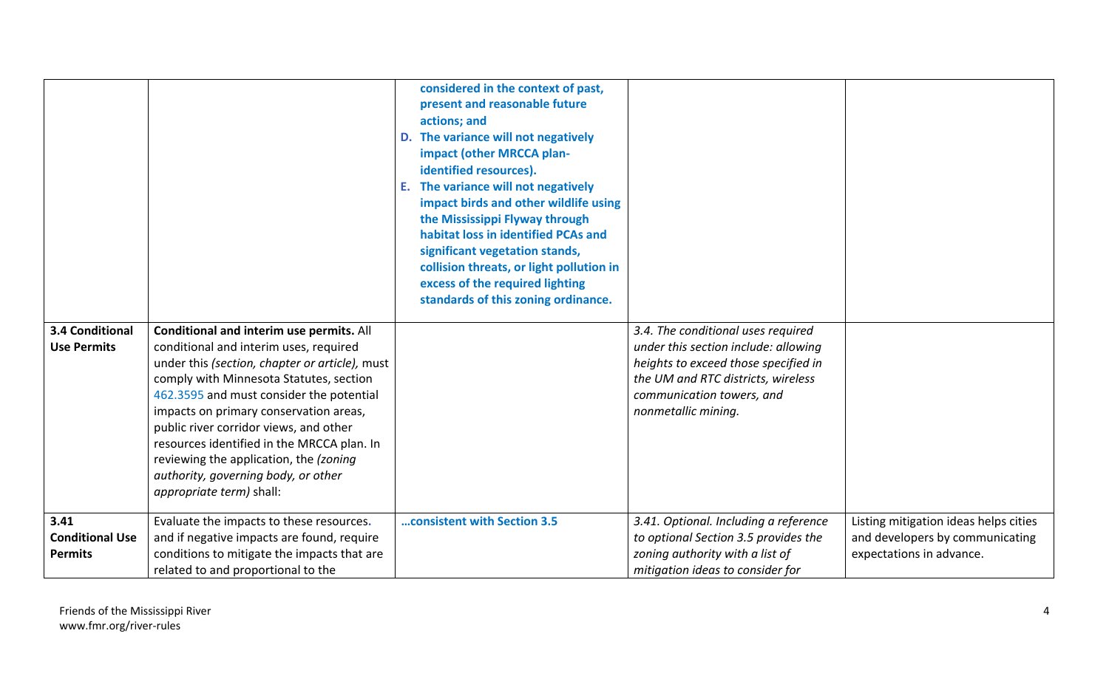|                                              |                                                                                           | considered in the context of past,<br>present and reasonable future<br>actions; and<br>D. The variance will not negatively<br>impact (other MRCCA plan-<br>identified resources).<br>The variance will not negatively<br>Ε.<br>impact birds and other wildlife using<br>the Mississippi Flyway through<br>habitat loss in identified PCAs and<br>significant vegetation stands,<br>collision threats, or light pollution in<br>excess of the required lighting<br>standards of this zoning ordinance. |                                                                            |                                                             |
|----------------------------------------------|-------------------------------------------------------------------------------------------|-------------------------------------------------------------------------------------------------------------------------------------------------------------------------------------------------------------------------------------------------------------------------------------------------------------------------------------------------------------------------------------------------------------------------------------------------------------------------------------------------------|----------------------------------------------------------------------------|-------------------------------------------------------------|
| <b>3.4 Conditional</b><br><b>Use Permits</b> | Conditional and interim use permits. All<br>conditional and interim uses, required        |                                                                                                                                                                                                                                                                                                                                                                                                                                                                                                       | 3.4. The conditional uses required<br>under this section include: allowing |                                                             |
|                                              | under this (section, chapter or article), must                                            |                                                                                                                                                                                                                                                                                                                                                                                                                                                                                                       | heights to exceed those specified in<br>the UM and RTC districts, wireless |                                                             |
|                                              | comply with Minnesota Statutes, section<br>462.3595 and must consider the potential       |                                                                                                                                                                                                                                                                                                                                                                                                                                                                                                       | communication towers, and                                                  |                                                             |
|                                              | impacts on primary conservation areas,<br>public river corridor views, and other          |                                                                                                                                                                                                                                                                                                                                                                                                                                                                                                       | nonmetallic mining.                                                        |                                                             |
|                                              | resources identified in the MRCCA plan. In                                                |                                                                                                                                                                                                                                                                                                                                                                                                                                                                                                       |                                                                            |                                                             |
|                                              | reviewing the application, the (zoning<br>authority, governing body, or other             |                                                                                                                                                                                                                                                                                                                                                                                                                                                                                                       |                                                                            |                                                             |
|                                              | appropriate term) shall:                                                                  |                                                                                                                                                                                                                                                                                                                                                                                                                                                                                                       |                                                                            |                                                             |
| 3.41                                         | Evaluate the impacts to these resources.                                                  | consistent with Section 3.5                                                                                                                                                                                                                                                                                                                                                                                                                                                                           | 3.41. Optional. Including a reference                                      | Listing mitigation ideas helps cities                       |
| <b>Conditional Use</b><br><b>Permits</b>     | and if negative impacts are found, require<br>conditions to mitigate the impacts that are |                                                                                                                                                                                                                                                                                                                                                                                                                                                                                                       | to optional Section 3.5 provides the<br>zoning authority with a list of    | and developers by communicating<br>expectations in advance. |
|                                              | related to and proportional to the                                                        |                                                                                                                                                                                                                                                                                                                                                                                                                                                                                                       | mitigation ideas to consider for                                           |                                                             |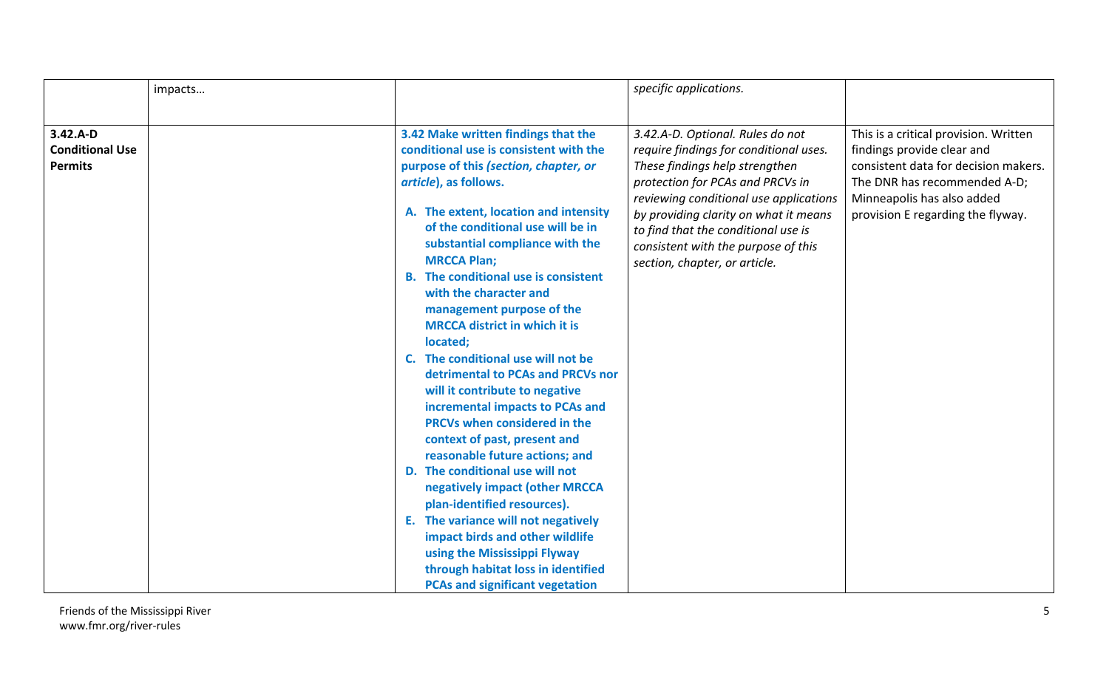|                                                        | impacts |                                                                                                                                                                                                                                                                                                                                                                                                                                                                                                                                                                                                                                                                                                                                                                                                                                                                                                                                                                                                  | specific applications.                                                                                                                                                                                                                                                                                                                             |                                                                                                                                                                                                                |
|--------------------------------------------------------|---------|--------------------------------------------------------------------------------------------------------------------------------------------------------------------------------------------------------------------------------------------------------------------------------------------------------------------------------------------------------------------------------------------------------------------------------------------------------------------------------------------------------------------------------------------------------------------------------------------------------------------------------------------------------------------------------------------------------------------------------------------------------------------------------------------------------------------------------------------------------------------------------------------------------------------------------------------------------------------------------------------------|----------------------------------------------------------------------------------------------------------------------------------------------------------------------------------------------------------------------------------------------------------------------------------------------------------------------------------------------------|----------------------------------------------------------------------------------------------------------------------------------------------------------------------------------------------------------------|
|                                                        |         |                                                                                                                                                                                                                                                                                                                                                                                                                                                                                                                                                                                                                                                                                                                                                                                                                                                                                                                                                                                                  |                                                                                                                                                                                                                                                                                                                                                    |                                                                                                                                                                                                                |
| $3.42.A-D$<br><b>Conditional Use</b><br><b>Permits</b> |         | 3.42 Make written findings that the<br>conditional use is consistent with the<br>purpose of this (section, chapter, or<br>article), as follows.<br>A. The extent, location and intensity<br>of the conditional use will be in<br>substantial compliance with the<br><b>MRCCA Plan;</b><br><b>B.</b> The conditional use is consistent<br>with the character and<br>management purpose of the<br><b>MRCCA district in which it is</b><br>located;<br>C. The conditional use will not be<br>detrimental to PCAs and PRCVs nor<br>will it contribute to negative<br>incremental impacts to PCAs and<br>PRCVs when considered in the<br>context of past, present and<br>reasonable future actions; and<br>D. The conditional use will not<br>negatively impact (other MRCCA<br>plan-identified resources).<br>E. The variance will not negatively<br>impact birds and other wildlife<br>using the Mississippi Flyway<br>through habitat loss in identified<br><b>PCAs and significant vegetation</b> | 3.42.A-D. Optional. Rules do not<br>require findings for conditional uses.<br>These findings help strengthen<br>protection for PCAs and PRCVs in<br>reviewing conditional use applications<br>by providing clarity on what it means<br>to find that the conditional use is<br>consistent with the purpose of this<br>section, chapter, or article. | This is a critical provision. Written<br>findings provide clear and<br>consistent data for decision makers.<br>The DNR has recommended A-D;<br>Minneapolis has also added<br>provision E regarding the flyway. |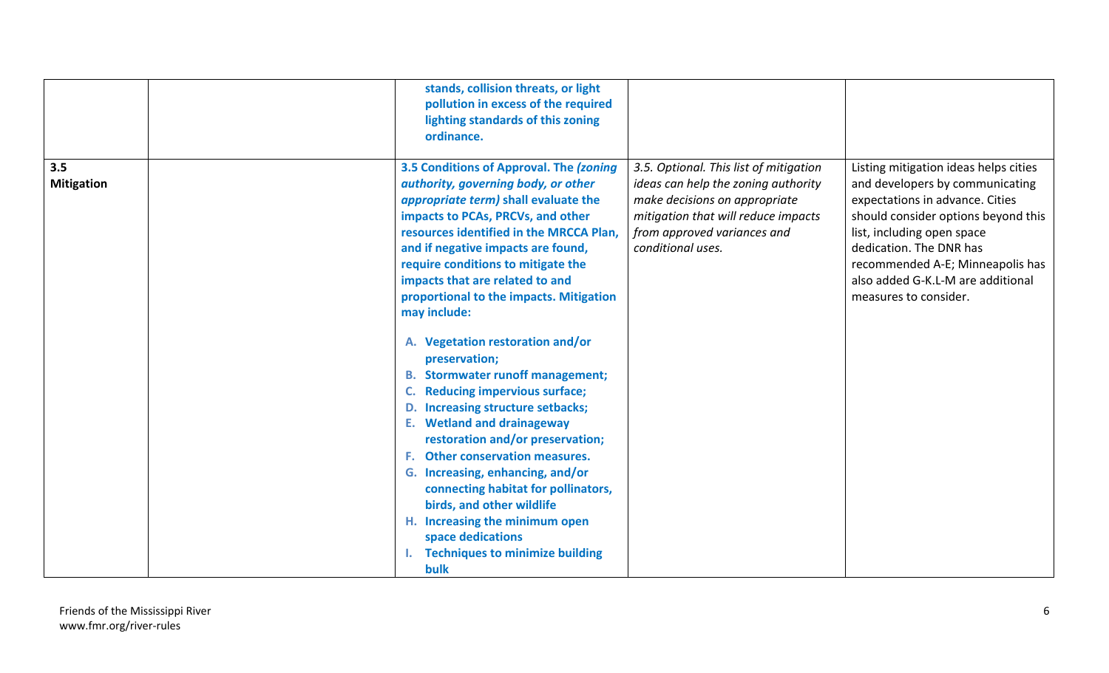|                          | stands, collision threats, or light<br>pollution in excess of the required<br>lighting standards of this zoning<br>ordinance.                                                                                                                                                                                                                                                                                                                                                                                                                                                                                                                                                                                                                                                                                                                                                                |                                                                                                                                                                                                           |                                                                                                                                                                                                                                                                                                               |
|--------------------------|----------------------------------------------------------------------------------------------------------------------------------------------------------------------------------------------------------------------------------------------------------------------------------------------------------------------------------------------------------------------------------------------------------------------------------------------------------------------------------------------------------------------------------------------------------------------------------------------------------------------------------------------------------------------------------------------------------------------------------------------------------------------------------------------------------------------------------------------------------------------------------------------|-----------------------------------------------------------------------------------------------------------------------------------------------------------------------------------------------------------|---------------------------------------------------------------------------------------------------------------------------------------------------------------------------------------------------------------------------------------------------------------------------------------------------------------|
| 3.5<br><b>Mitigation</b> | 3.5 Conditions of Approval. The (zoning<br>authority, governing body, or other<br><i>appropriate term)</i> shall evaluate the<br>impacts to PCAs, PRCVs, and other<br>resources identified in the MRCCA Plan,<br>and if negative impacts are found,<br>require conditions to mitigate the<br>impacts that are related to and<br>proportional to the impacts. Mitigation<br>may include:<br>A. Vegetation restoration and/or<br>preservation;<br><b>B.</b> Stormwater runoff management;<br><b>Reducing impervious surface;</b><br>D. Increasing structure setbacks;<br><b>E.</b> Wetland and drainageway<br>restoration and/or preservation;<br>F. Other conservation measures.<br>G. Increasing, enhancing, and/or<br>connecting habitat for pollinators,<br>birds, and other wildlife<br>H. Increasing the minimum open<br>space dedications<br>I. Techniques to minimize building<br>bulk | 3.5. Optional. This list of mitigation<br>ideas can help the zoning authority<br>make decisions on appropriate<br>mitigation that will reduce impacts<br>from approved variances and<br>conditional uses. | Listing mitigation ideas helps cities<br>and developers by communicating<br>expectations in advance. Cities<br>should consider options beyond this<br>list, including open space<br>dedication. The DNR has<br>recommended A-E; Minneapolis has<br>also added G-K.L-M are additional<br>measures to consider. |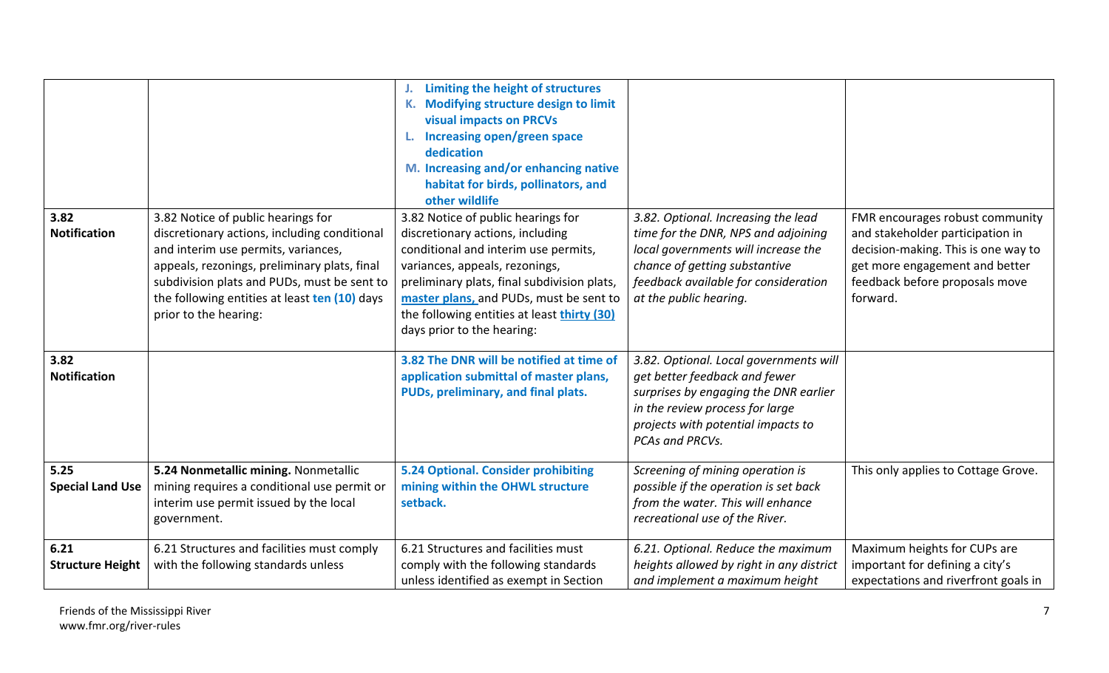| 3.82<br><b>Notification</b>     | 3.82 Notice of public hearings for<br>discretionary actions, including conditional<br>and interim use permits, variances,<br>appeals, rezonings, preliminary plats, final<br>subdivision plats and PUDs, must be sent to<br>the following entities at least ten (10) days<br>prior to the hearing: | Limiting the height of structures<br><b>Modifying structure design to limit</b><br><b>visual impacts on PRCVs</b><br>Increasing open/green space<br>L.<br>dedication<br>M. Increasing and/or enhancing native<br>habitat for birds, pollinators, and<br>other wildlife<br>3.82 Notice of public hearings for<br>discretionary actions, including<br>conditional and interim use permits,<br>variances, appeals, rezonings,<br>preliminary plats, final subdivision plats,<br>master plans, and PUDs, must be sent to<br>the following entities at least thirty (30) | 3.82. Optional. Increasing the lead<br>time for the DNR, NPS and adjoining<br>local governments will increase the<br>chance of getting substantive<br>feedback available for consideration<br>at the public hearing. | FMR encourages robust community<br>and stakeholder participation in<br>decision-making. This is one way to<br>get more engagement and better<br>feedback before proposals move<br>forward. |
|---------------------------------|----------------------------------------------------------------------------------------------------------------------------------------------------------------------------------------------------------------------------------------------------------------------------------------------------|---------------------------------------------------------------------------------------------------------------------------------------------------------------------------------------------------------------------------------------------------------------------------------------------------------------------------------------------------------------------------------------------------------------------------------------------------------------------------------------------------------------------------------------------------------------------|----------------------------------------------------------------------------------------------------------------------------------------------------------------------------------------------------------------------|--------------------------------------------------------------------------------------------------------------------------------------------------------------------------------------------|
|                                 |                                                                                                                                                                                                                                                                                                    | days prior to the hearing:                                                                                                                                                                                                                                                                                                                                                                                                                                                                                                                                          |                                                                                                                                                                                                                      |                                                                                                                                                                                            |
| 3.82<br><b>Notification</b>     |                                                                                                                                                                                                                                                                                                    | 3.82 The DNR will be notified at time of<br>application submittal of master plans,<br>PUDs, preliminary, and final plats.                                                                                                                                                                                                                                                                                                                                                                                                                                           | 3.82. Optional. Local governments will<br>get better feedback and fewer<br>surprises by engaging the DNR earlier<br>in the review process for large<br>projects with potential impacts to<br>PCAs and PRCVs.         |                                                                                                                                                                                            |
| 5.25<br><b>Special Land Use</b> | 5.24 Nonmetallic mining. Nonmetallic<br>mining requires a conditional use permit or<br>interim use permit issued by the local<br>government.                                                                                                                                                       | 5.24 Optional. Consider prohibiting<br>mining within the OHWL structure<br>setback.                                                                                                                                                                                                                                                                                                                                                                                                                                                                                 | Screening of mining operation is<br>possible if the operation is set back<br>from the water. This will enhance<br>recreational use of the River.                                                                     | This only applies to Cottage Grove.                                                                                                                                                        |
| 6.21<br><b>Structure Height</b> | 6.21 Structures and facilities must comply<br>with the following standards unless                                                                                                                                                                                                                  | 6.21 Structures and facilities must<br>comply with the following standards<br>unless identified as exempt in Section                                                                                                                                                                                                                                                                                                                                                                                                                                                | 6.21. Optional. Reduce the maximum<br>heights allowed by right in any district<br>and implement a maximum height                                                                                                     | Maximum heights for CUPs are<br>important for defining a city's<br>expectations and riverfront goals in                                                                                    |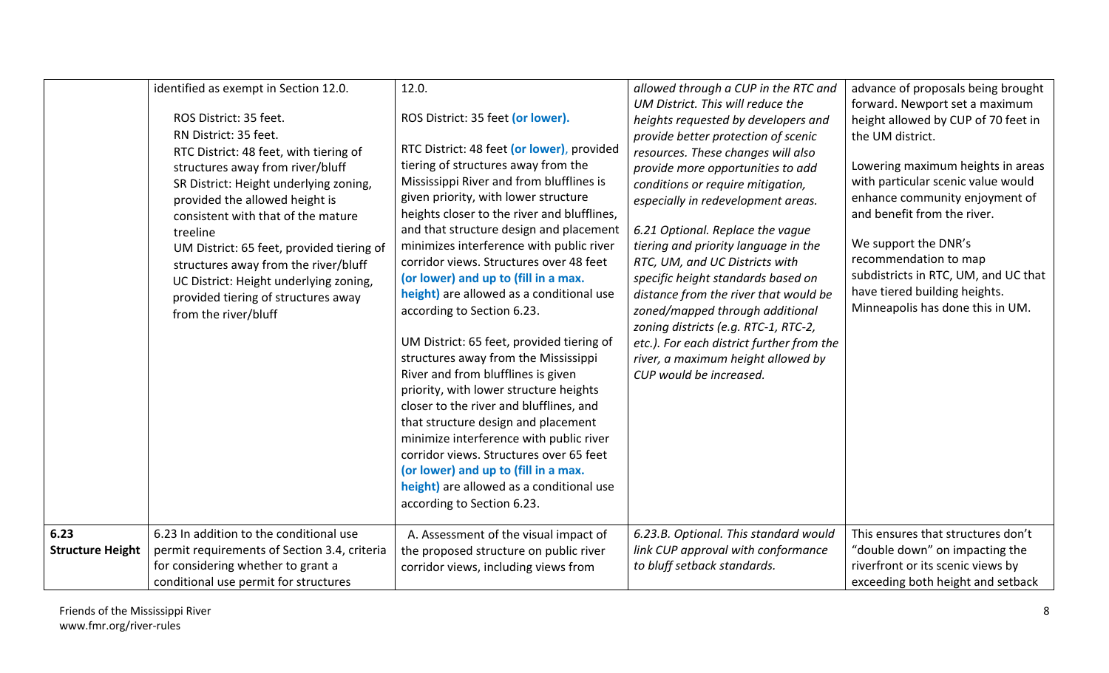|                         | identified as exempt in Section 12.0.        | 12.0.                                       | allowed through a CUP in the RTC and      | advance of proposals being brought   |
|-------------------------|----------------------------------------------|---------------------------------------------|-------------------------------------------|--------------------------------------|
|                         |                                              |                                             | UM District. This will reduce the         | forward. Newport set a maximum       |
|                         | ROS District: 35 feet.                       | ROS District: 35 feet (or lower).           | heights requested by developers and       | height allowed by CUP of 70 feet in  |
|                         | RN District: 35 feet.                        |                                             | provide better protection of scenic       | the UM district.                     |
|                         | RTC District: 48 feet, with tiering of       | RTC District: 48 feet (or lower), provided  | resources. These changes will also        |                                      |
|                         | structures away from river/bluff             | tiering of structures away from the         | provide more opportunities to add         | Lowering maximum heights in areas    |
|                         | SR District: Height underlying zoning,       | Mississippi River and from blufflines is    | conditions or require mitigation,         | with particular scenic value would   |
|                         | provided the allowed height is               | given priority, with lower structure        | especially in redevelopment areas.        | enhance community enjoyment of       |
|                         | consistent with that of the mature           | heights closer to the river and blufflines, |                                           | and benefit from the river.          |
|                         | treeline                                     | and that structure design and placement     | 6.21 Optional. Replace the vague          |                                      |
|                         | UM District: 65 feet, provided tiering of    | minimizes interference with public river    | tiering and priority language in the      | We support the DNR's                 |
|                         | structures away from the river/bluff         | corridor views. Structures over 48 feet     | RTC, UM, and UC Districts with            | recommendation to map                |
|                         | UC District: Height underlying zoning,       | (or lower) and up to (fill in a max.        | specific height standards based on        | subdistricts in RTC, UM, and UC that |
|                         | provided tiering of structures away          | height) are allowed as a conditional use    | distance from the river that would be     | have tiered building heights.        |
|                         | from the river/bluff                         | according to Section 6.23.                  | zoned/mapped through additional           | Minneapolis has done this in UM.     |
|                         |                                              |                                             | zoning districts (e.g. RTC-1, RTC-2,      |                                      |
|                         |                                              | UM District: 65 feet, provided tiering of   | etc.). For each district further from the |                                      |
|                         |                                              | structures away from the Mississippi        | river, a maximum height allowed by        |                                      |
|                         |                                              | River and from blufflines is given          | CUP would be increased.                   |                                      |
|                         |                                              | priority, with lower structure heights      |                                           |                                      |
|                         |                                              | closer to the river and blufflines, and     |                                           |                                      |
|                         |                                              | that structure design and placement         |                                           |                                      |
|                         |                                              | minimize interference with public river     |                                           |                                      |
|                         |                                              | corridor views. Structures over 65 feet     |                                           |                                      |
|                         |                                              | (or lower) and up to (fill in a max.        |                                           |                                      |
|                         |                                              | height) are allowed as a conditional use    |                                           |                                      |
|                         |                                              | according to Section 6.23.                  |                                           |                                      |
|                         |                                              |                                             |                                           |                                      |
| 6.23                    | 6.23 In addition to the conditional use      | A. Assessment of the visual impact of       | 6.23.B. Optional. This standard would     | This ensures that structures don't   |
| <b>Structure Height</b> | permit requirements of Section 3.4, criteria | the proposed structure on public river      | link CUP approval with conformance        | "double down" on impacting the       |
|                         | for considering whether to grant a           | corridor views, including views from        | to bluff setback standards.               | riverfront or its scenic views by    |
|                         | conditional use permit for structures        |                                             |                                           | exceeding both height and setback    |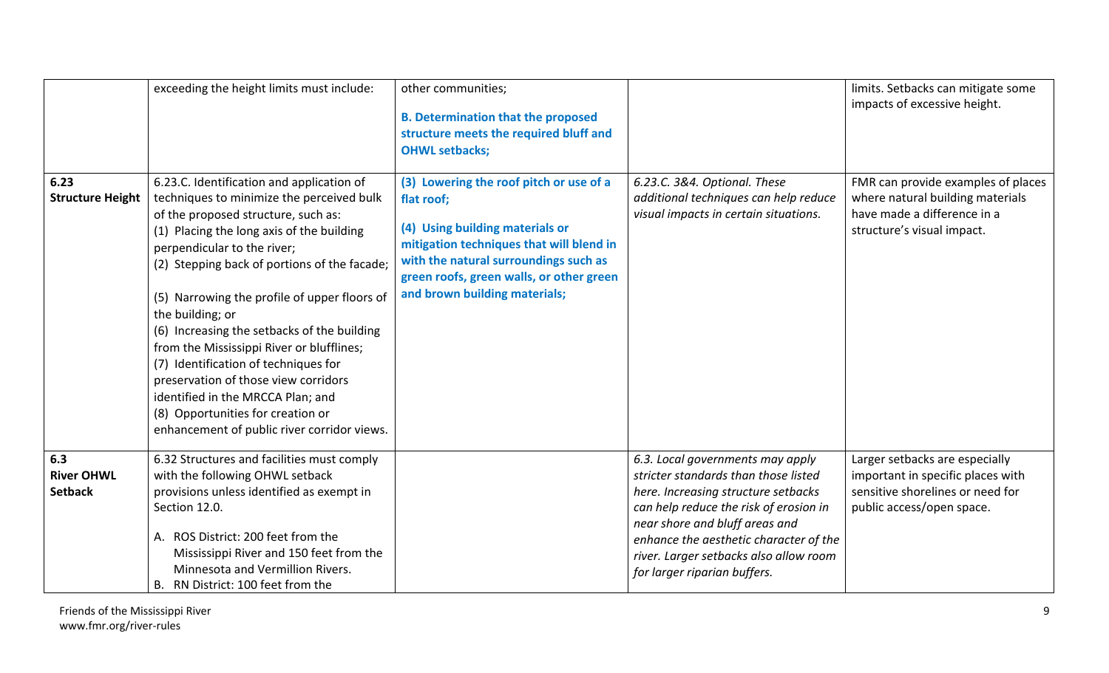|                                            | exceeding the height limits must include:                                                                                                                                                                                                                                                                                                                                                                                                                                                                                                                                                                                          | other communities;<br><b>B. Determination that the proposed</b><br>structure meets the required bluff and<br><b>OHWL setbacks;</b>                                                                                                                         |                                                                                                                                                                                                                                                                                                                 | limits. Setbacks can mitigate some<br>impacts of excessive height.                                                                   |
|--------------------------------------------|------------------------------------------------------------------------------------------------------------------------------------------------------------------------------------------------------------------------------------------------------------------------------------------------------------------------------------------------------------------------------------------------------------------------------------------------------------------------------------------------------------------------------------------------------------------------------------------------------------------------------------|------------------------------------------------------------------------------------------------------------------------------------------------------------------------------------------------------------------------------------------------------------|-----------------------------------------------------------------------------------------------------------------------------------------------------------------------------------------------------------------------------------------------------------------------------------------------------------------|--------------------------------------------------------------------------------------------------------------------------------------|
| 6.23<br><b>Structure Height</b>            | 6.23.C. Identification and application of<br>techniques to minimize the perceived bulk<br>of the proposed structure, such as:<br>(1) Placing the long axis of the building<br>perpendicular to the river;<br>(2) Stepping back of portions of the facade;<br>(5) Narrowing the profile of upper floors of<br>the building; or<br>(6) Increasing the setbacks of the building<br>from the Mississippi River or blufflines;<br>(7) Identification of techniques for<br>preservation of those view corridors<br>identified in the MRCCA Plan; and<br>(8) Opportunities for creation or<br>enhancement of public river corridor views. | (3) Lowering the roof pitch or use of a<br>flat roof;<br>(4) Using building materials or<br>mitigation techniques that will blend in<br>with the natural surroundings such as<br>green roofs, green walls, or other green<br>and brown building materials; | 6.23.C. 3&4. Optional. These<br>additional techniques can help reduce<br>visual impacts in certain situations.                                                                                                                                                                                                  | FMR can provide examples of places<br>where natural building materials<br>have made a difference in a<br>structure's visual impact.  |
| 6.3<br><b>River OHWL</b><br><b>Setback</b> | 6.32 Structures and facilities must comply<br>with the following OHWL setback<br>provisions unless identified as exempt in<br>Section 12.0.<br>A. ROS District: 200 feet from the<br>Mississippi River and 150 feet from the<br>Minnesota and Vermillion Rivers.<br>RN District: 100 feet from the<br>В.                                                                                                                                                                                                                                                                                                                           |                                                                                                                                                                                                                                                            | 6.3. Local governments may apply<br>stricter standards than those listed<br>here. Increasing structure setbacks<br>can help reduce the risk of erosion in<br>near shore and bluff areas and<br>enhance the aesthetic character of the<br>river. Larger setbacks also allow room<br>for larger riparian buffers. | Larger setbacks are especially<br>important in specific places with<br>sensitive shorelines or need for<br>public access/open space. |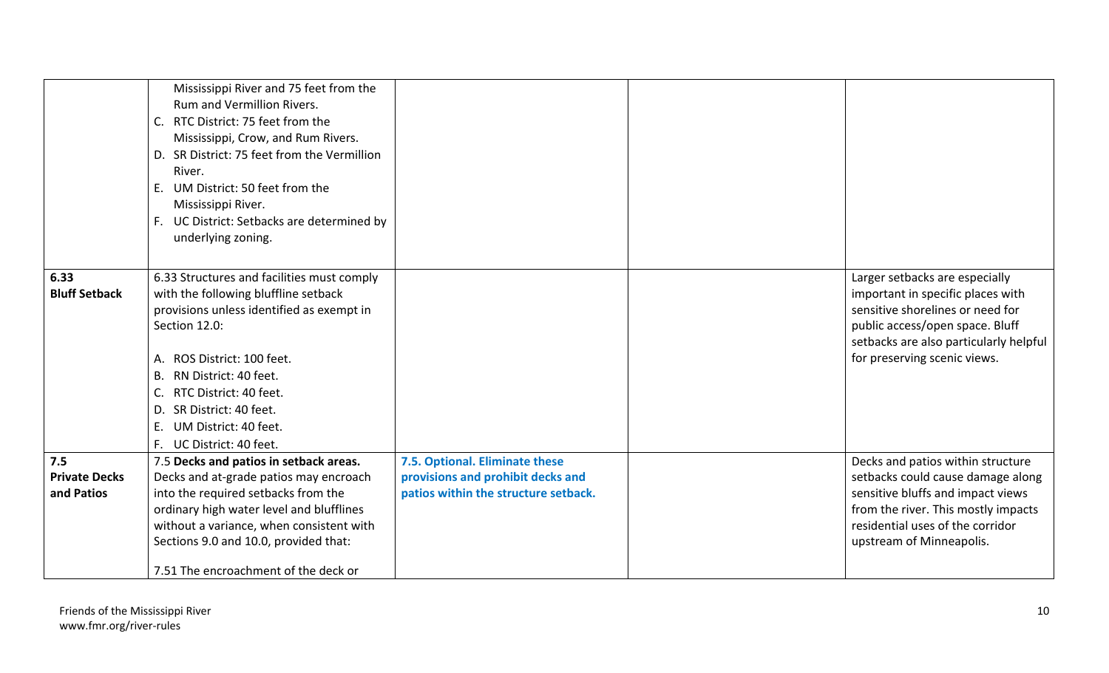|                                    | Mississippi River and 75 feet from the<br><b>Rum and Vermillion Rivers.</b><br>RTC District: 75 feet from the<br>C.<br>Mississippi, Crow, and Rum Rivers. |                                                                           |                                                                        |
|------------------------------------|-----------------------------------------------------------------------------------------------------------------------------------------------------------|---------------------------------------------------------------------------|------------------------------------------------------------------------|
|                                    | D. SR District: 75 feet from the Vermillion<br>River.<br>UM District: 50 feet from the<br>E.                                                              |                                                                           |                                                                        |
|                                    | Mississippi River.<br>F. UC District: Setbacks are determined by                                                                                          |                                                                           |                                                                        |
|                                    | underlying zoning.                                                                                                                                        |                                                                           |                                                                        |
| 6.33                               | 6.33 Structures and facilities must comply                                                                                                                |                                                                           | Larger setbacks are especially                                         |
| <b>Bluff Setback</b>               | with the following bluffline setback                                                                                                                      |                                                                           | important in specific places with                                      |
|                                    | provisions unless identified as exempt in<br>Section 12.0:                                                                                                |                                                                           | sensitive shorelines or need for<br>public access/open space. Bluff    |
|                                    | ROS District: 100 feet.<br>А.                                                                                                                             |                                                                           | setbacks are also particularly helpful<br>for preserving scenic views. |
|                                    | RN District: 40 feet.<br>В.                                                                                                                               |                                                                           |                                                                        |
|                                    | RTC District: 40 feet.<br>C.                                                                                                                              |                                                                           |                                                                        |
|                                    | SR District: 40 feet.<br>D.                                                                                                                               |                                                                           |                                                                        |
|                                    | Ε.<br>UM District: 40 feet.                                                                                                                               |                                                                           |                                                                        |
|                                    | F. UC District: 40 feet.                                                                                                                                  |                                                                           |                                                                        |
| 7.5                                | 7.5 Decks and patios in setback areas.                                                                                                                    | 7.5. Optional. Eliminate these                                            | Decks and patios within structure                                      |
| <b>Private Decks</b><br>and Patios | Decks and at-grade patios may encroach<br>into the required setbacks from the                                                                             | provisions and prohibit decks and<br>patios within the structure setback. | setbacks could cause damage along<br>sensitive bluffs and impact views |
|                                    | ordinary high water level and blufflines                                                                                                                  |                                                                           | from the river. This mostly impacts                                    |
|                                    | without a variance, when consistent with                                                                                                                  |                                                                           | residential uses of the corridor                                       |
|                                    | Sections 9.0 and 10.0, provided that:                                                                                                                     |                                                                           | upstream of Minneapolis.                                               |
|                                    | 7.51 The encroachment of the deck or                                                                                                                      |                                                                           |                                                                        |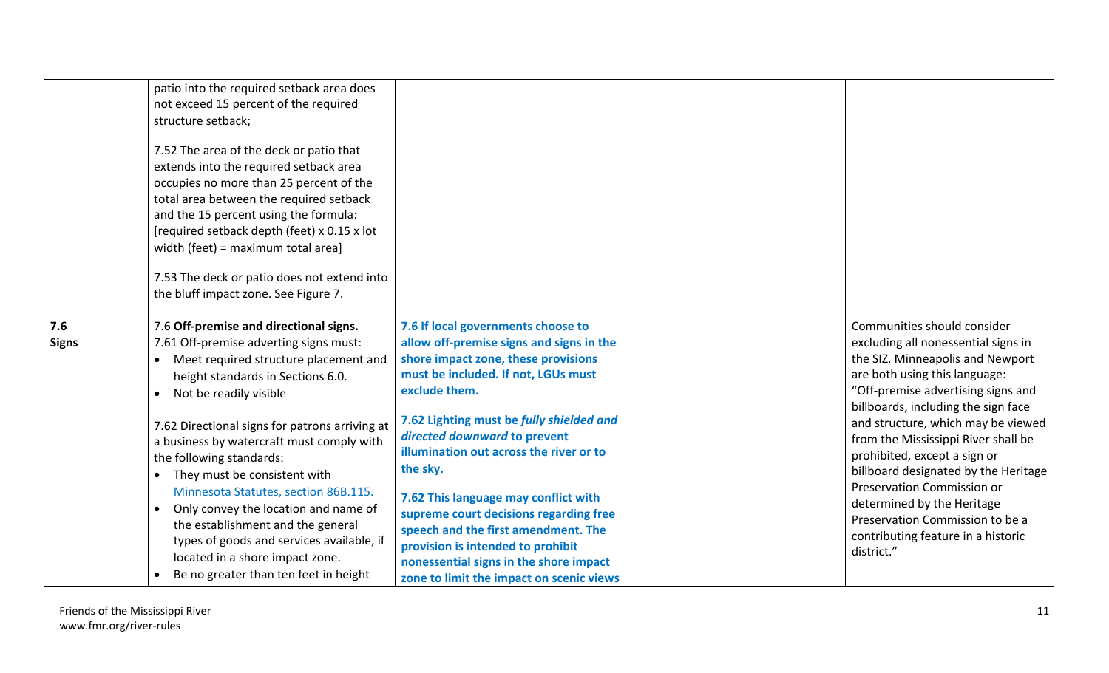|                     | patio into the required setback area does<br>not exceed 15 percent of the required<br>structure setback;<br>7.52 The area of the deck or patio that<br>extends into the required setback area<br>occupies no more than 25 percent of the<br>total area between the required setback<br>and the 15 percent using the formula:<br>[required setback depth (feet) x 0.15 x lot<br>width (feet) = maximum total area]<br>7.53 The deck or patio does not extend into<br>the bluff impact zone. See Figure 7.                                                                                                                                              |                                                                                                                                                                                                                                                                                                                                                                                                                                                                                                                                                                      |                                                                                                                                                                                                                                                                                                                                                                                                                                                                                                                              |
|---------------------|-------------------------------------------------------------------------------------------------------------------------------------------------------------------------------------------------------------------------------------------------------------------------------------------------------------------------------------------------------------------------------------------------------------------------------------------------------------------------------------------------------------------------------------------------------------------------------------------------------------------------------------------------------|----------------------------------------------------------------------------------------------------------------------------------------------------------------------------------------------------------------------------------------------------------------------------------------------------------------------------------------------------------------------------------------------------------------------------------------------------------------------------------------------------------------------------------------------------------------------|------------------------------------------------------------------------------------------------------------------------------------------------------------------------------------------------------------------------------------------------------------------------------------------------------------------------------------------------------------------------------------------------------------------------------------------------------------------------------------------------------------------------------|
| 7.6<br><b>Signs</b> | 7.6 Off-premise and directional signs.<br>7.61 Off-premise adverting signs must:<br>Meet required structure placement and<br>$\bullet$<br>height standards in Sections 6.0.<br>Not be readily visible<br>$\bullet$<br>7.62 Directional signs for patrons arriving at<br>a business by watercraft must comply with<br>the following standards:<br>They must be consistent with<br>$\bullet$<br>Minnesota Statutes, section 86B.115.<br>Only convey the location and name of<br>$\bullet$<br>the establishment and the general<br>types of goods and services available, if<br>located in a shore impact zone.<br>Be no greater than ten feet in height | 7.6 If local governments choose to<br>allow off-premise signs and signs in the<br>shore impact zone, these provisions<br>must be included. If not, LGUs must<br>exclude them.<br>7.62 Lighting must be fully shielded and<br>directed downward to prevent<br>illumination out across the river or to<br>the sky.<br>7.62 This language may conflict with<br>supreme court decisions regarding free<br>speech and the first amendment. The<br>provision is intended to prohibit<br>nonessential signs in the shore impact<br>zone to limit the impact on scenic views | Communities should consider<br>excluding all nonessential signs in<br>the SIZ. Minneapolis and Newport<br>are both using this language:<br>"Off-premise advertising signs and<br>billboards, including the sign face<br>and structure, which may be viewed<br>from the Mississippi River shall be<br>prohibited, except a sign or<br>billboard designated by the Heritage<br>Preservation Commission or<br>determined by the Heritage<br>Preservation Commission to be a<br>contributing feature in a historic<br>district." |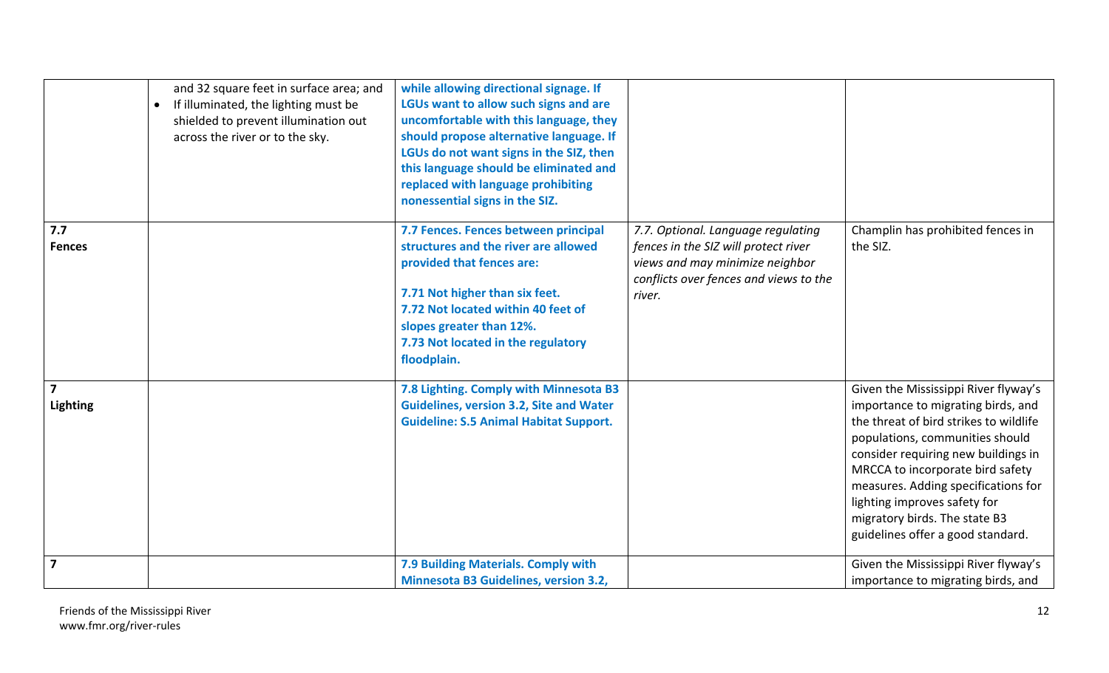|                                            | and 32 square feet in surface area; and<br>If illuminated, the lighting must be<br>$\bullet$<br>shielded to prevent illumination out<br>across the river or to the sky. | while allowing directional signage. If<br>LGUs want to allow such signs and are<br>uncomfortable with this language, they<br>should propose alternative language. If<br>LGUs do not want signs in the SIZ, then<br>this language should be eliminated and<br>replaced with language prohibiting<br>nonessential signs in the SIZ. |                                                                                                                                                                   |                                                                                                                                                                                                                                                                                                                                                                                 |
|--------------------------------------------|-------------------------------------------------------------------------------------------------------------------------------------------------------------------------|-----------------------------------------------------------------------------------------------------------------------------------------------------------------------------------------------------------------------------------------------------------------------------------------------------------------------------------|-------------------------------------------------------------------------------------------------------------------------------------------------------------------|---------------------------------------------------------------------------------------------------------------------------------------------------------------------------------------------------------------------------------------------------------------------------------------------------------------------------------------------------------------------------------|
| 7.7<br><b>Fences</b>                       |                                                                                                                                                                         | 7.7 Fences. Fences between principal<br>structures and the river are allowed<br>provided that fences are:<br>7.71 Not higher than six feet.<br>7.72 Not located within 40 feet of<br>slopes greater than 12%.<br>7.73 Not located in the regulatory<br>floodplain.                                                                | 7.7. Optional. Language regulating<br>fences in the SIZ will protect river<br>views and may minimize neighbor<br>conflicts over fences and views to the<br>river. | Champlin has prohibited fences in<br>the SIZ.                                                                                                                                                                                                                                                                                                                                   |
| $\overline{\mathbf{z}}$<br><b>Lighting</b> |                                                                                                                                                                         | 7.8 Lighting. Comply with Minnesota B3<br><b>Guidelines, version 3.2, Site and Water</b><br><b>Guideline: S.5 Animal Habitat Support.</b>                                                                                                                                                                                         |                                                                                                                                                                   | Given the Mississippi River flyway's<br>importance to migrating birds, and<br>the threat of bird strikes to wildlife<br>populations, communities should<br>consider requiring new buildings in<br>MRCCA to incorporate bird safety<br>measures. Adding specifications for<br>lighting improves safety for<br>migratory birds. The state B3<br>guidelines offer a good standard. |
| $\overline{\mathbf{z}}$                    |                                                                                                                                                                         | 7.9 Building Materials. Comply with<br><b>Minnesota B3 Guidelines, version 3.2,</b>                                                                                                                                                                                                                                               |                                                                                                                                                                   | Given the Mississippi River flyway's<br>importance to migrating birds, and                                                                                                                                                                                                                                                                                                      |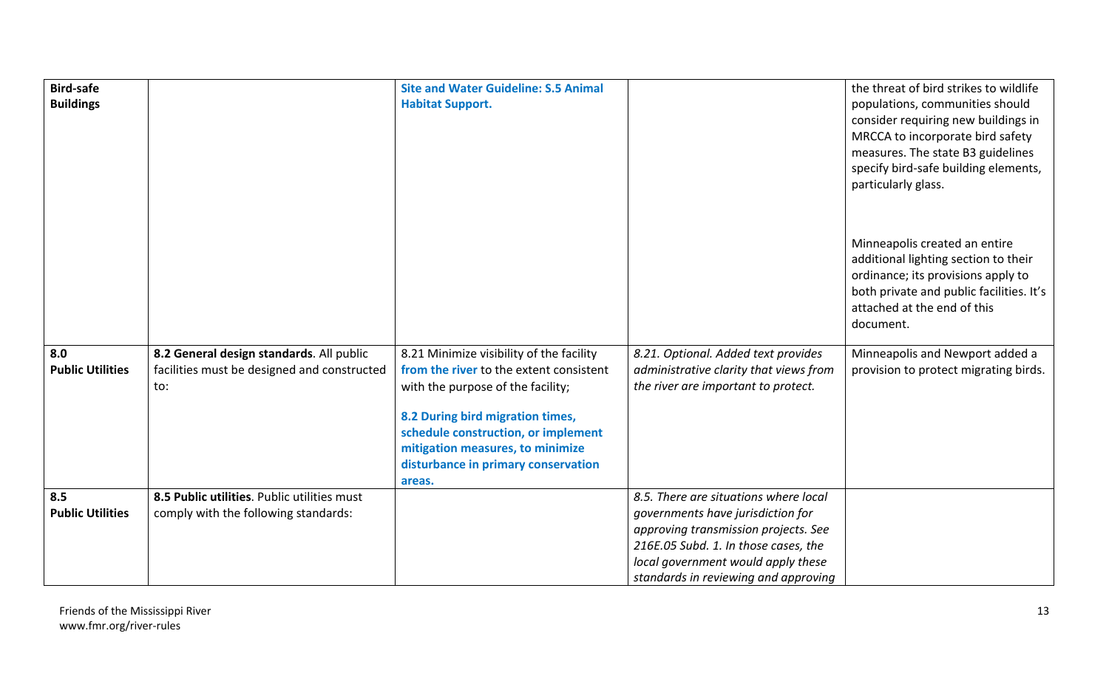| <b>Bird-safe</b>        |                                             | <b>Site and Water Guideline: S.5 Animal</b>   |                                        | the threat of bird strikes to wildlife                                  |
|-------------------------|---------------------------------------------|-----------------------------------------------|----------------------------------------|-------------------------------------------------------------------------|
| <b>Buildings</b>        |                                             | <b>Habitat Support.</b>                       |                                        | populations, communities should                                         |
|                         |                                             |                                               |                                        | consider requiring new buildings in<br>MRCCA to incorporate bird safety |
|                         |                                             |                                               |                                        | measures. The state B3 guidelines                                       |
|                         |                                             |                                               |                                        | specify bird-safe building elements,                                    |
|                         |                                             |                                               |                                        | particularly glass.                                                     |
|                         |                                             |                                               |                                        |                                                                         |
|                         |                                             |                                               |                                        |                                                                         |
|                         |                                             |                                               |                                        | Minneapolis created an entire                                           |
|                         |                                             |                                               |                                        | additional lighting section to their                                    |
|                         |                                             |                                               |                                        | ordinance; its provisions apply to                                      |
|                         |                                             |                                               |                                        | both private and public facilities. It's                                |
|                         |                                             |                                               |                                        | attached at the end of this                                             |
|                         |                                             |                                               |                                        | document.                                                               |
| 8.0                     | 8.2 General design standards. All public    | 8.21 Minimize visibility of the facility      | 8.21. Optional. Added text provides    | Minneapolis and Newport added a                                         |
| <b>Public Utilities</b> | facilities must be designed and constructed | from the river to the extent consistent       | administrative clarity that views from | provision to protect migrating birds.                                   |
|                         | to:                                         | with the purpose of the facility;             | the river are important to protect.    |                                                                         |
|                         |                                             |                                               |                                        |                                                                         |
|                         |                                             | 8.2 During bird migration times,              |                                        |                                                                         |
|                         |                                             | schedule construction, or implement           |                                        |                                                                         |
|                         |                                             | mitigation measures, to minimize              |                                        |                                                                         |
|                         |                                             | disturbance in primary conservation<br>areas. |                                        |                                                                         |
| 8.5                     | 8.5 Public utilities. Public utilities must |                                               | 8.5. There are situations where local  |                                                                         |
| <b>Public Utilities</b> | comply with the following standards:        |                                               | governments have jurisdiction for      |                                                                         |
|                         |                                             |                                               | approving transmission projects. See   |                                                                         |
|                         |                                             |                                               | 216E.05 Subd. 1. In those cases, the   |                                                                         |
|                         |                                             |                                               | local government would apply these     |                                                                         |
|                         |                                             |                                               | standards in reviewing and approving   |                                                                         |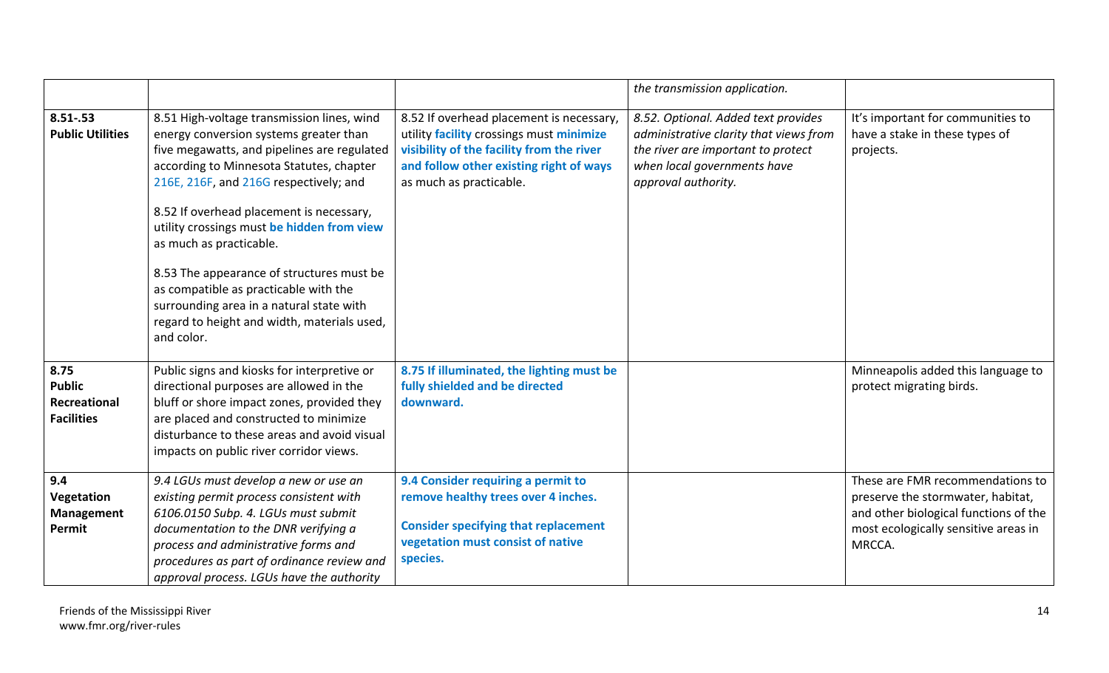|                                                            |                                                                                                                                                                                                                                                                                                                                                                                                                                                                                                                                               |                                                                                                                                                                                                         | the transmission application.                                                                                                                                             |                                                                                                                                                                  |
|------------------------------------------------------------|-----------------------------------------------------------------------------------------------------------------------------------------------------------------------------------------------------------------------------------------------------------------------------------------------------------------------------------------------------------------------------------------------------------------------------------------------------------------------------------------------------------------------------------------------|---------------------------------------------------------------------------------------------------------------------------------------------------------------------------------------------------------|---------------------------------------------------------------------------------------------------------------------------------------------------------------------------|------------------------------------------------------------------------------------------------------------------------------------------------------------------|
| $8.51 - .53$<br><b>Public Utilities</b>                    | 8.51 High-voltage transmission lines, wind<br>energy conversion systems greater than<br>five megawatts, and pipelines are regulated<br>according to Minnesota Statutes, chapter<br>216E, 216F, and 216G respectively; and<br>8.52 If overhead placement is necessary,<br>utility crossings must be hidden from view<br>as much as practicable.<br>8.53 The appearance of structures must be<br>as compatible as practicable with the<br>surrounding area in a natural state with<br>regard to height and width, materials used,<br>and color. | 8.52 If overhead placement is necessary,<br>utility facility crossings must minimize<br>visibility of the facility from the river<br>and follow other existing right of ways<br>as much as practicable. | 8.52. Optional. Added text provides<br>administrative clarity that views from<br>the river are important to protect<br>when local governments have<br>approval authority. | It's important for communities to<br>have a stake in these types of<br>projects.                                                                                 |
| 8.75<br><b>Public</b><br>Recreational<br><b>Facilities</b> | Public signs and kiosks for interpretive or<br>directional purposes are allowed in the<br>bluff or shore impact zones, provided they<br>are placed and constructed to minimize<br>disturbance to these areas and avoid visual<br>impacts on public river corridor views.                                                                                                                                                                                                                                                                      | 8.75 If illuminated, the lighting must be<br>fully shielded and be directed<br>downward.                                                                                                                |                                                                                                                                                                           | Minneapolis added this language to<br>protect migrating birds.                                                                                                   |
| 9.4<br>Vegetation<br>Management<br>Permit                  | 9.4 LGUs must develop a new or use an<br>existing permit process consistent with<br>6106.0150 Subp. 4. LGUs must submit<br>documentation to the DNR verifying a<br>process and administrative forms and<br>procedures as part of ordinance review and<br>approval process. LGUs have the authority                                                                                                                                                                                                                                            | 9.4 Consider requiring a permit to<br>remove healthy trees over 4 inches.<br><b>Consider specifying that replacement</b><br>vegetation must consist of native<br>species.                               |                                                                                                                                                                           | These are FMR recommendations to<br>preserve the stormwater, habitat,<br>and other biological functions of the<br>most ecologically sensitive areas in<br>MRCCA. |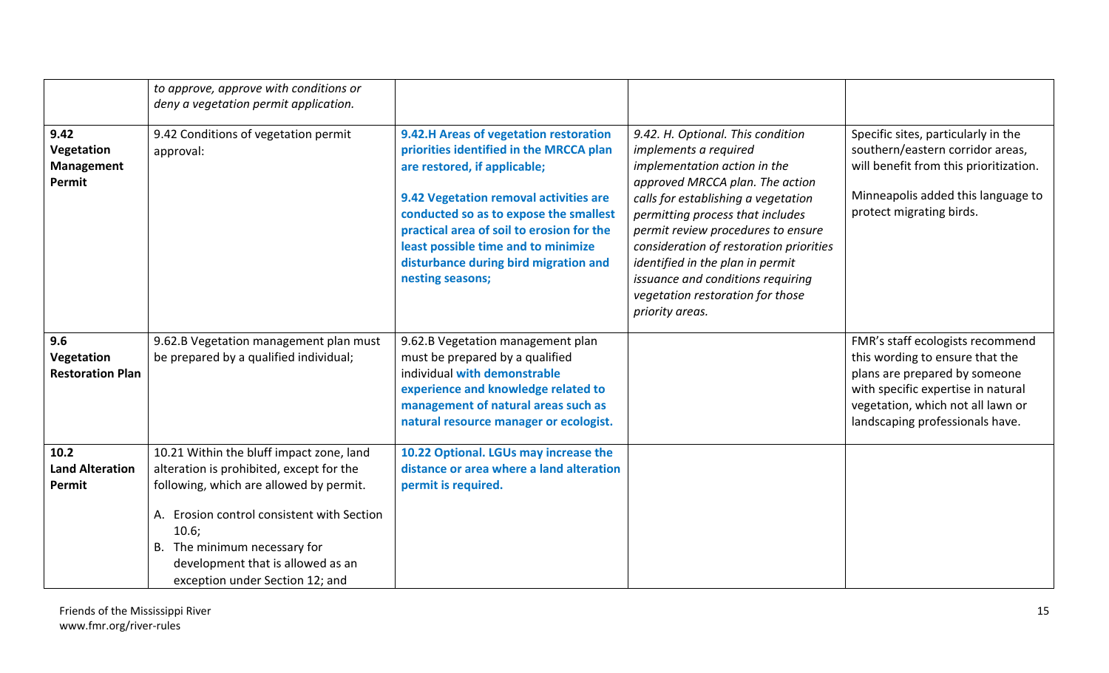|                                                   | to approve, approve with conditions or<br>deny a vegetation permit application.                                                                                                                                                                                                                |                                                                                                                                                                                                                                                                                                                                                        |                                                                                                                                                                                                                                                                                                                                                                                                                           |                                                                                                                                                                                                                    |
|---------------------------------------------------|------------------------------------------------------------------------------------------------------------------------------------------------------------------------------------------------------------------------------------------------------------------------------------------------|--------------------------------------------------------------------------------------------------------------------------------------------------------------------------------------------------------------------------------------------------------------------------------------------------------------------------------------------------------|---------------------------------------------------------------------------------------------------------------------------------------------------------------------------------------------------------------------------------------------------------------------------------------------------------------------------------------------------------------------------------------------------------------------------|--------------------------------------------------------------------------------------------------------------------------------------------------------------------------------------------------------------------|
| 9.42<br>Vegetation<br><b>Management</b><br>Permit | 9.42 Conditions of vegetation permit<br>approval:                                                                                                                                                                                                                                              | 9.42.H Areas of vegetation restoration<br>priorities identified in the MRCCA plan<br>are restored, if applicable;<br>9.42 Vegetation removal activities are<br>conducted so as to expose the smallest<br>practical area of soil to erosion for the<br>least possible time and to minimize<br>disturbance during bird migration and<br>nesting seasons; | 9.42. H. Optional. This condition<br>implements a required<br>implementation action in the<br>approved MRCCA plan. The action<br>calls for establishing a vegetation<br>permitting process that includes<br>permit review procedures to ensure<br>consideration of restoration priorities<br>identified in the plan in permit<br>issuance and conditions requiring<br>vegetation restoration for those<br>priority areas. | Specific sites, particularly in the<br>southern/eastern corridor areas,<br>will benefit from this prioritization.<br>Minneapolis added this language to<br>protect migrating birds.                                |
| 9.6<br>Vegetation<br><b>Restoration Plan</b>      | 9.62.B Vegetation management plan must<br>be prepared by a qualified individual;                                                                                                                                                                                                               | 9.62.B Vegetation management plan<br>must be prepared by a qualified<br>individual with demonstrable<br>experience and knowledge related to<br>management of natural areas such as<br>natural resource manager or ecologist.                                                                                                                           |                                                                                                                                                                                                                                                                                                                                                                                                                           | FMR's staff ecologists recommend<br>this wording to ensure that the<br>plans are prepared by someone<br>with specific expertise in natural<br>vegetation, which not all lawn or<br>landscaping professionals have. |
| 10.2<br><b>Land Alteration</b><br>Permit          | 10.21 Within the bluff impact zone, land<br>alteration is prohibited, except for the<br>following, which are allowed by permit.<br>A. Erosion control consistent with Section<br>10.6;<br>B. The minimum necessary for<br>development that is allowed as an<br>exception under Section 12; and | 10.22 Optional. LGUs may increase the<br>distance or area where a land alteration<br>permit is required.                                                                                                                                                                                                                                               |                                                                                                                                                                                                                                                                                                                                                                                                                           |                                                                                                                                                                                                                    |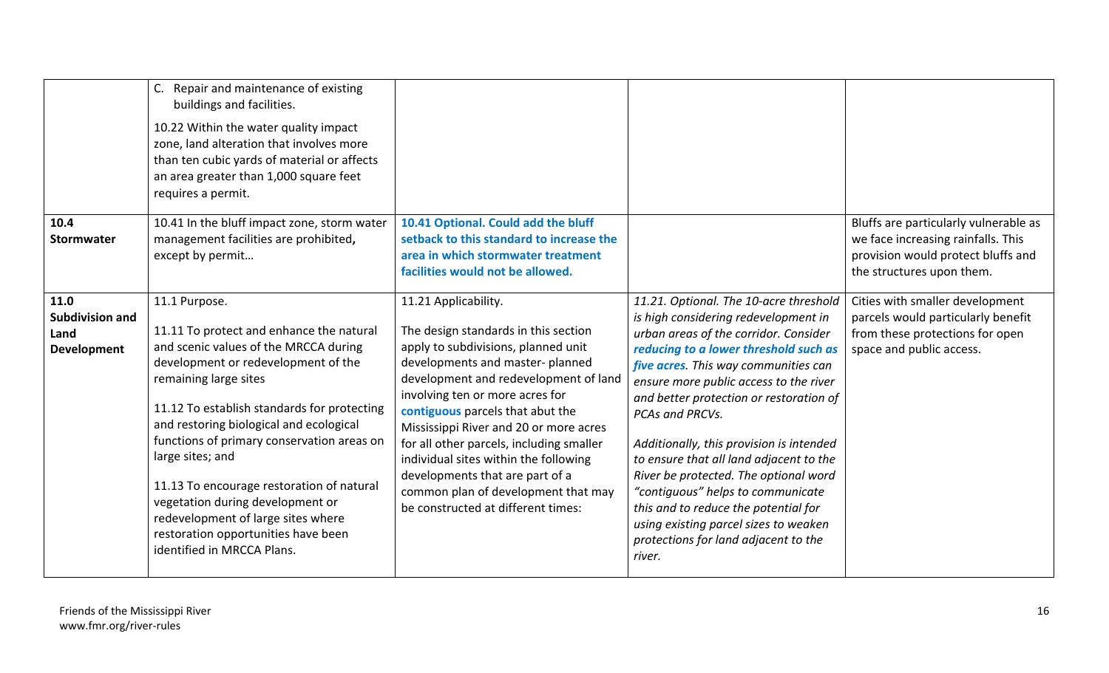|                                                              | Repair and maintenance of existing<br>buildings and facilities.<br>10.22 Within the water quality impact<br>zone, land alteration that involves more<br>than ten cubic yards of material or affects<br>an area greater than 1,000 square feet<br>requires a permit.                                                                                                                                                                                                                                                        |                                                                                                                                                                                                                                                                                                                                                                                                                                                                                                       |                                                                                                                                                                                                                                                                                                                                                                                                                                                                                                                                                                                                                          |                                                                                                                                                |
|--------------------------------------------------------------|----------------------------------------------------------------------------------------------------------------------------------------------------------------------------------------------------------------------------------------------------------------------------------------------------------------------------------------------------------------------------------------------------------------------------------------------------------------------------------------------------------------------------|-------------------------------------------------------------------------------------------------------------------------------------------------------------------------------------------------------------------------------------------------------------------------------------------------------------------------------------------------------------------------------------------------------------------------------------------------------------------------------------------------------|--------------------------------------------------------------------------------------------------------------------------------------------------------------------------------------------------------------------------------------------------------------------------------------------------------------------------------------------------------------------------------------------------------------------------------------------------------------------------------------------------------------------------------------------------------------------------------------------------------------------------|------------------------------------------------------------------------------------------------------------------------------------------------|
| 10.4<br>Stormwater                                           | 10.41 In the bluff impact zone, storm water<br>management facilities are prohibited,<br>except by permit                                                                                                                                                                                                                                                                                                                                                                                                                   | 10.41 Optional. Could add the bluff<br>setback to this standard to increase the<br>area in which stormwater treatment<br>facilities would not be allowed.                                                                                                                                                                                                                                                                                                                                             |                                                                                                                                                                                                                                                                                                                                                                                                                                                                                                                                                                                                                          | Bluffs are particularly vulnerable as<br>we face increasing rainfalls. This<br>provision would protect bluffs and<br>the structures upon them. |
| 11.0<br><b>Subdivision and</b><br>Land<br><b>Development</b> | 11.1 Purpose.<br>11.11 To protect and enhance the natural<br>and scenic values of the MRCCA during<br>development or redevelopment of the<br>remaining large sites<br>11.12 To establish standards for protecting<br>and restoring biological and ecological<br>functions of primary conservation areas on<br>large sites; and<br>11.13 To encourage restoration of natural<br>vegetation during development or<br>redevelopment of large sites where<br>restoration opportunities have been<br>identified in MRCCA Plans. | 11.21 Applicability.<br>The design standards in this section<br>apply to subdivisions, planned unit<br>developments and master-planned<br>development and redevelopment of land<br>involving ten or more acres for<br>contiguous parcels that abut the<br>Mississippi River and 20 or more acres<br>for all other parcels, including smaller<br>individual sites within the following<br>developments that are part of a<br>common plan of development that may<br>be constructed at different times: | 11.21. Optional. The 10-acre threshold<br>is high considering redevelopment in<br>urban areas of the corridor. Consider<br>reducing to a lower threshold such as<br>five acres. This way communities can<br>ensure more public access to the river<br>and better protection or restoration of<br>PCAs and PRCVs.<br>Additionally, this provision is intended<br>to ensure that all land adjacent to the<br>River be protected. The optional word<br>"contiquous" helps to communicate<br>this and to reduce the potential for<br>using existing parcel sizes to weaken<br>protections for land adjacent to the<br>river. | Cities with smaller development<br>parcels would particularly benefit<br>from these protections for open<br>space and public access.           |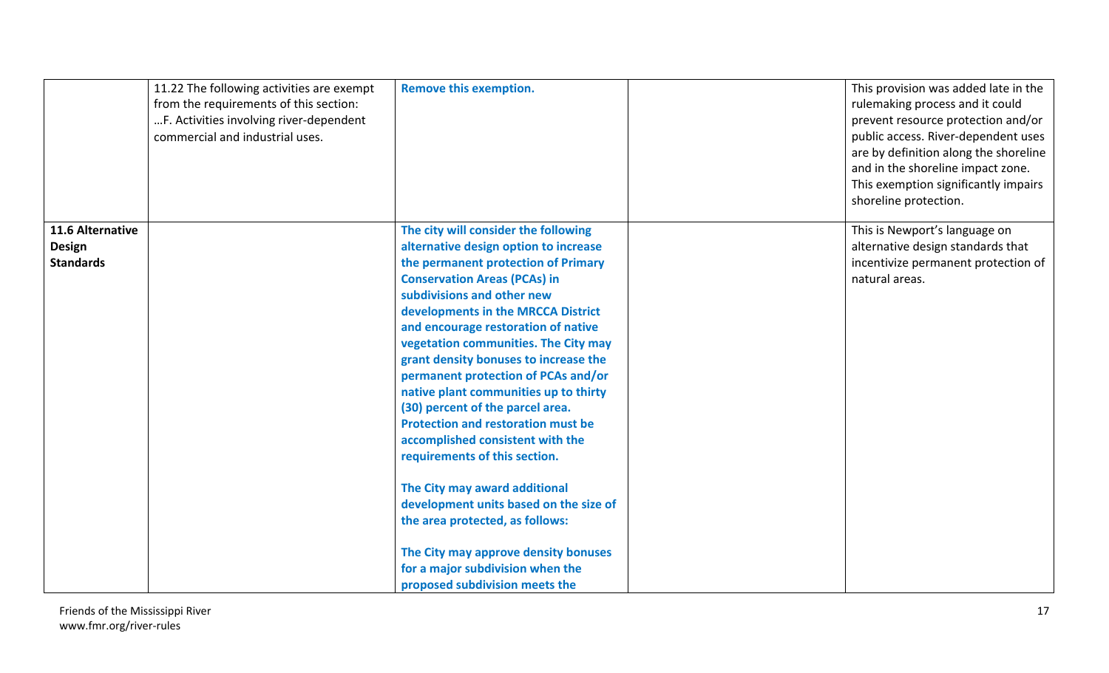|                  | 11.22 The following activities are exempt<br>from the requirements of this section:<br>F. Activities involving river-dependent<br>commercial and industrial uses. | <b>Remove this exemption.</b>                                                 | This provision was added late in the<br>rulemaking process and it could<br>prevent resource protection and/or<br>public access. River-dependent uses<br>are by definition along the shoreline<br>and in the shoreline impact zone.<br>This exemption significantly impairs<br>shoreline protection. |
|------------------|-------------------------------------------------------------------------------------------------------------------------------------------------------------------|-------------------------------------------------------------------------------|-----------------------------------------------------------------------------------------------------------------------------------------------------------------------------------------------------------------------------------------------------------------------------------------------------|
| 11.6 Alternative |                                                                                                                                                                   | The city will consider the following                                          | This is Newport's language on                                                                                                                                                                                                                                                                       |
| <b>Design</b>    |                                                                                                                                                                   | alternative design option to increase                                         | alternative design standards that                                                                                                                                                                                                                                                                   |
| <b>Standards</b> |                                                                                                                                                                   | the permanent protection of Primary                                           | incentivize permanent protection of                                                                                                                                                                                                                                                                 |
|                  |                                                                                                                                                                   | <b>Conservation Areas (PCAs) in</b>                                           | natural areas.                                                                                                                                                                                                                                                                                      |
|                  |                                                                                                                                                                   | subdivisions and other new                                                    |                                                                                                                                                                                                                                                                                                     |
|                  |                                                                                                                                                                   | developments in the MRCCA District                                            |                                                                                                                                                                                                                                                                                                     |
|                  |                                                                                                                                                                   | and encourage restoration of native                                           |                                                                                                                                                                                                                                                                                                     |
|                  |                                                                                                                                                                   | vegetation communities. The City may                                          |                                                                                                                                                                                                                                                                                                     |
|                  |                                                                                                                                                                   | grant density bonuses to increase the                                         |                                                                                                                                                                                                                                                                                                     |
|                  |                                                                                                                                                                   | permanent protection of PCAs and/or                                           |                                                                                                                                                                                                                                                                                                     |
|                  |                                                                                                                                                                   | native plant communities up to thirty                                         |                                                                                                                                                                                                                                                                                                     |
|                  |                                                                                                                                                                   | (30) percent of the parcel area.<br><b>Protection and restoration must be</b> |                                                                                                                                                                                                                                                                                                     |
|                  |                                                                                                                                                                   |                                                                               |                                                                                                                                                                                                                                                                                                     |
|                  |                                                                                                                                                                   | accomplished consistent with the                                              |                                                                                                                                                                                                                                                                                                     |
|                  |                                                                                                                                                                   | requirements of this section.                                                 |                                                                                                                                                                                                                                                                                                     |
|                  |                                                                                                                                                                   | The City may award additional                                                 |                                                                                                                                                                                                                                                                                                     |
|                  |                                                                                                                                                                   | development units based on the size of                                        |                                                                                                                                                                                                                                                                                                     |
|                  |                                                                                                                                                                   | the area protected, as follows:                                               |                                                                                                                                                                                                                                                                                                     |
|                  |                                                                                                                                                                   |                                                                               |                                                                                                                                                                                                                                                                                                     |
|                  |                                                                                                                                                                   | The City may approve density bonuses                                          |                                                                                                                                                                                                                                                                                                     |
|                  |                                                                                                                                                                   | for a major subdivision when the                                              |                                                                                                                                                                                                                                                                                                     |
|                  |                                                                                                                                                                   | proposed subdivision meets the                                                |                                                                                                                                                                                                                                                                                                     |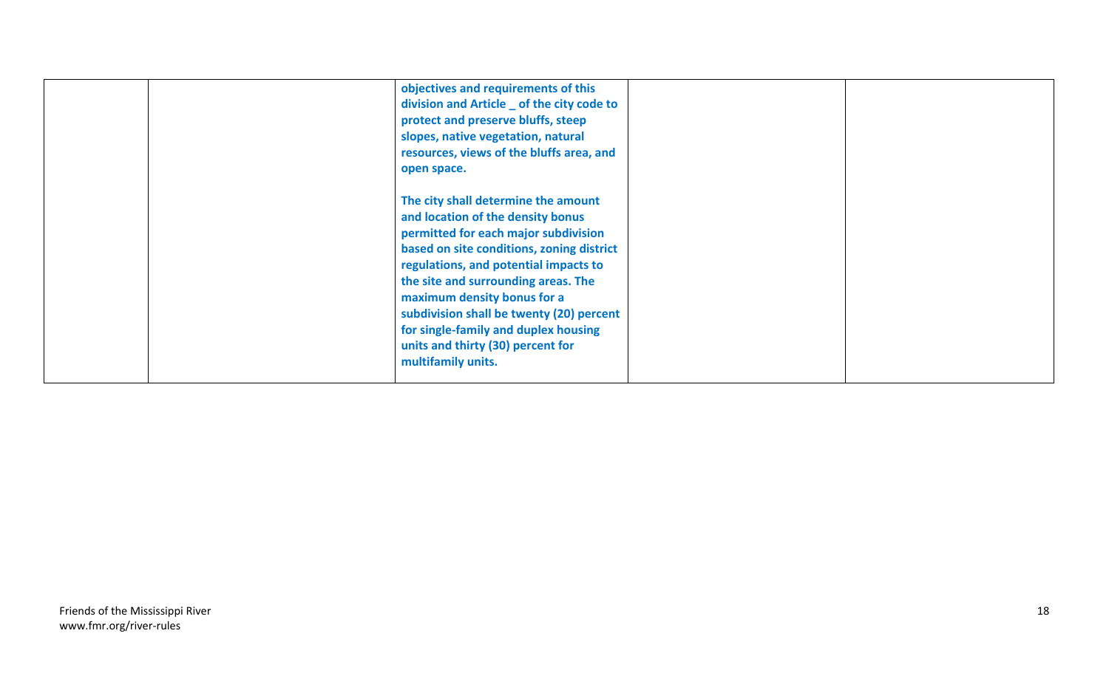|  | objectives and requirements of this<br>division and Article _ of the city code to<br>protect and preserve bluffs, steep<br>slopes, native vegetation, natural<br>resources, views of the bluffs area, and<br>open space.                                                                                                                                                                                                    |  |
|--|-----------------------------------------------------------------------------------------------------------------------------------------------------------------------------------------------------------------------------------------------------------------------------------------------------------------------------------------------------------------------------------------------------------------------------|--|
|  | The city shall determine the amount<br>and location of the density bonus<br>permitted for each major subdivision<br>based on site conditions, zoning district<br>regulations, and potential impacts to<br>the site and surrounding areas. The<br>maximum density bonus for a<br>subdivision shall be twenty (20) percent<br>for single-family and duplex housing<br>units and thirty (30) percent for<br>multifamily units. |  |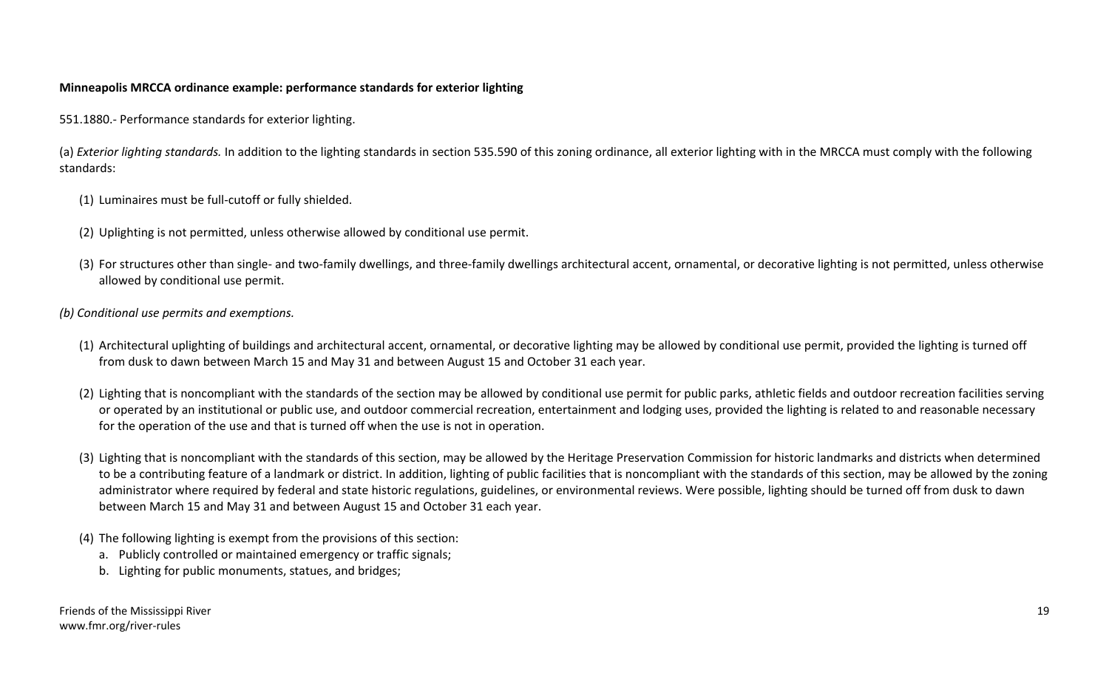# **Minneapolis MRCCA ordinance example: performance standards for exterior lighting**

551.1880.- Performance standards for exterior lighting.

(a) *Exterior lighting standards.* In addition to the lighting standards in section 535.590 of this zoning ordinance, all exterior lighting with in the MRCCA must comply with the following standards:

- (1) Luminaires must be full-cutoff or fully shielded.
- (2) Uplighting is not permitted, unless otherwise allowed by conditional use permit.
- (3) For structures other than single- and two-family dwellings, and three-family dwellings architectural accent, ornamental, or decorative lighting is not permitted, unless otherwise allowed by conditional use permit.

## *(b) Conditional use permits and exemptions.*

- (1) Architectural uplighting of buildings and architectural accent, ornamental, or decorative lighting may be allowed by conditional use permit, provided the lighting is turned off from dusk to dawn between March 15 and May 31 and between August 15 and October 31 each year.
- (2) Lighting that is noncompliant with the standards of the section may be allowed by conditional use permit for public parks, athletic fields and outdoor recreation facilities serving or operated by an institutional or public use, and outdoor commercial recreation, entertainment and lodging uses, provided the lighting is related to and reasonable necessary for the operation of the use and that is turned off when the use is not in operation.
- (3) Lighting that is noncompliant with the standards of this section, may be allowed by the Heritage Preservation Commission for historic landmarks and districts when determined to be a contributing feature of a landmark or district. In addition, lighting of public facilities that is noncompliant with the standards of this section, may be allowed by the zoning administrator where required by federal and state historic regulations, guidelines, or environmental reviews. Were possible, lighting should be turned off from dusk to dawn between March 15 and May 31 and between August 15 and October 31 each year.
- (4) The following lighting is exempt from the provisions of this section:
	- a. Publicly controlled or maintained emergency or traffic signals;
	- b. Lighting for public monuments, statues, and bridges;